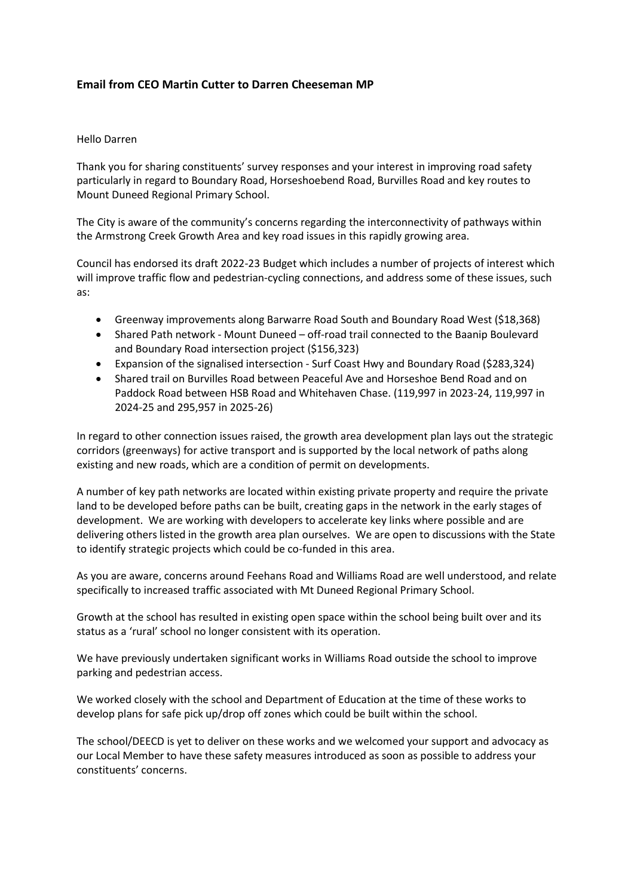## **Email from CEO Martin Cutter to Darren Cheeseman MP**

## Hello Darren

Thank you for sharing constituents' survey responses and your interest in improving road safety particularly in regard to Boundary Road, Horseshoebend Road, Burvilles Road and key routes to Mount Duneed Regional Primary School.

The City is aware of the community's concerns regarding the interconnectivity of pathways within the Armstrong Creek Growth Area and key road issues in this rapidly growing area.

Council has endorsed its draft 2022-23 Budget which includes a number of projects of interest which will improve traffic flow and pedestrian-cycling connections, and address some of these issues, such as:

- Greenway improvements along Barwarre Road South and Boundary Road West (\$18,368)
- Shared Path network Mount Duneed off-road trail connected to the Baanip Boulevard and Boundary Road intersection project (\$156,323)
- Expansion of the signalised intersection Surf Coast Hwy and Boundary Road (\$283,324)
- Shared trail on Burvilles Road between Peaceful Ave and Horseshoe Bend Road and on Paddock Road between HSB Road and Whitehaven Chase. (119,997 in 2023-24, 119,997 in 2024-25 and 295,957 in 2025-26)

In regard to other connection issues raised, the growth area development plan lays out the strategic corridors (greenways) for active transport and is supported by the local network of paths along existing and new roads, which are a condition of permit on developments.

A number of key path networks are located within existing private property and require the private land to be developed before paths can be built, creating gaps in the network in the early stages of development. We are working with developers to accelerate key links where possible and are delivering others listed in the growth area plan ourselves. We are open to discussions with the State to identify strategic projects which could be co-funded in this area.

As you are aware, concerns around Feehans Road and Williams Road are well understood, and relate specifically to increased traffic associated with Mt Duneed Regional Primary School.

Growth at the school has resulted in existing open space within the school being built over and its status as a 'rural' school no longer consistent with its operation.

We have previously undertaken significant works in Williams Road outside the school to improve parking and pedestrian access.

We worked closely with the school and Department of Education at the time of these works to develop plans for safe pick up/drop off zones which could be built within the school.

The school/DEECD is yet to deliver on these works and we welcomed your support and advocacy as our Local Member to have these safety measures introduced as soon as possible to address your constituents' concerns.